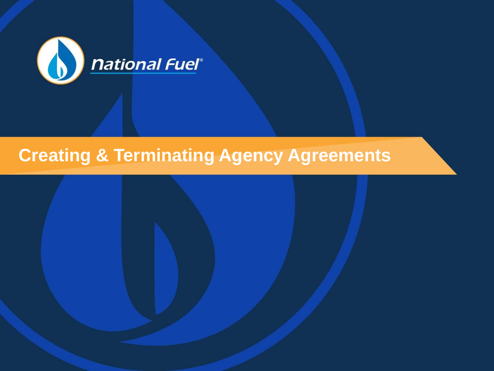

# **Creating & Terminating Agency Agreements**

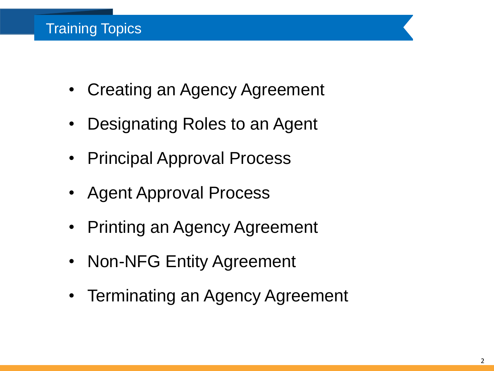- Creating an Agency Agreement
- Designating Roles to an Agent
- Principal Approval Process
- Agent Approval Process
- Printing an Agency Agreement
- Non-NFG Entity Agreement
- Terminating an Agency Agreement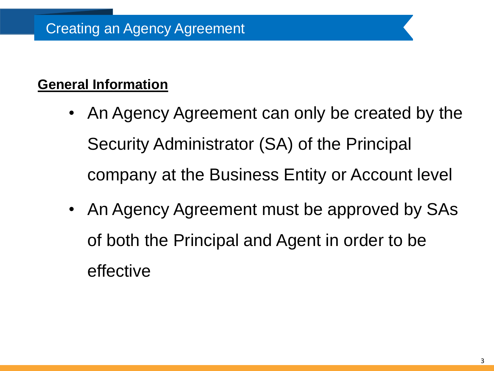### **General Information**

- An Agency Agreement can only be created by the Security Administrator (SA) of the Principal company at the Business Entity or Account level
- An Agency Agreement must be approved by SAs of both the Principal and Agent in order to be effective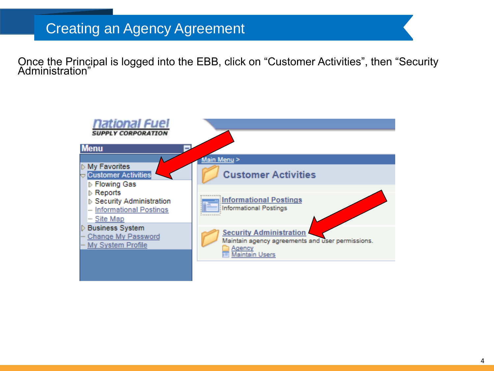Once the Principal is logged into the EBB, click on "Customer Activities", then "Security Administration"

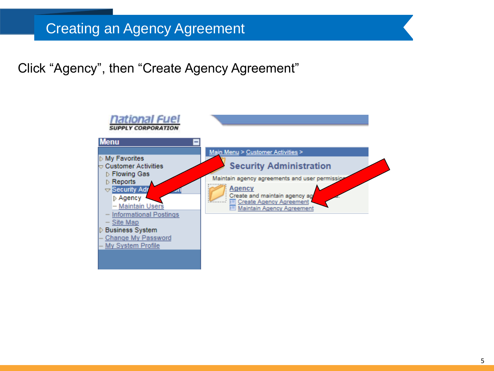Click "Agency", then "Create Agency Agreement"

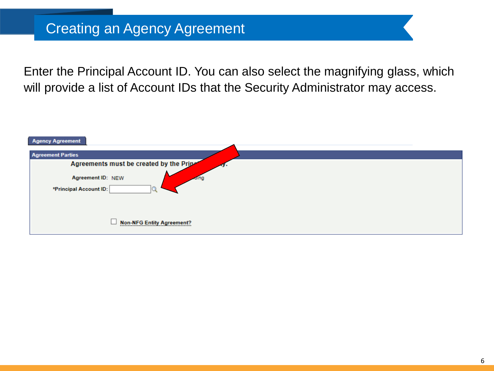Enter the Principal Account ID. You can also select the magnifying glass, which will provide a list of Account IDs that the Security Administrator may access.

| <b>Agency Agreement</b>                  |  |
|------------------------------------------|--|
| <b>Agreement Parties</b>                 |  |
| Agreements must be created by the Priper |  |
| Agreement ID: NEW<br>aling               |  |
| *Principal Account ID:                   |  |
|                                          |  |
|                                          |  |
| <b>Non-NFG Entity Agreement?</b>         |  |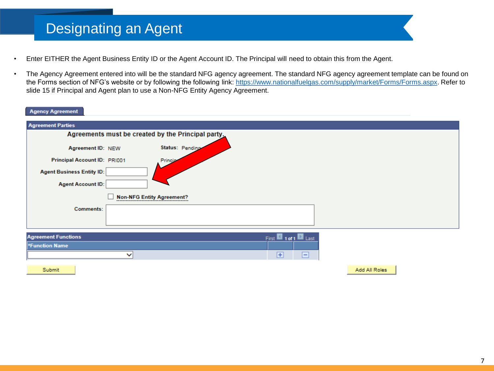### Designating an Agent

- Enter EITHER the Agent Business Entity ID or the Agent Account ID. The Principal will need to obtain this from the Agent.
- The Agency Agreement entered into will be the standard NFG agency agreement. The standard NFG agency agreement template can be found on the Forms section of NFG's website or by following the following link: [https://www.nationalfuelgas.com/supply/market/Forms/Forms.aspx.](https://www.nationalfuelgas.com/supply/market/Forms/Forms.aspx) Refer to slide 15 if Principal and Agent plan to use a Non-NFG Entity Agency Agreement.

#### **Agency Agreement**

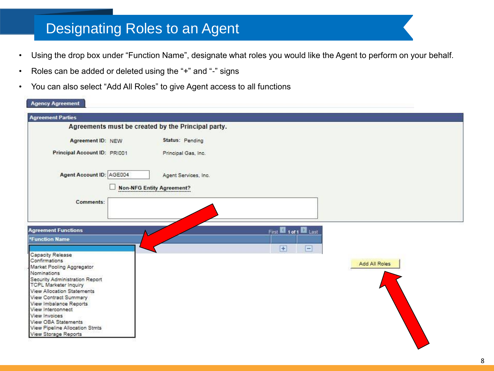## Designating Roles to an Agent

- Using the drop box under "Function Name", designate what roles you would like the Agent to perform on your behalf.
- Roles can be added or deleted using the "+" and "-" signs
- You can also select "Add All Roles" to give Agent access to all functions

| <b>Agency Agreement</b>                                                                                   |                                                    |                        |               |
|-----------------------------------------------------------------------------------------------------------|----------------------------------------------------|------------------------|---------------|
| <b>Agreement Parties</b>                                                                                  |                                                    |                        |               |
|                                                                                                           | Agreements must be created by the Principal party. |                        |               |
| Agreement ID: NEW                                                                                         | Status: Pending                                    |                        |               |
| Principal Account ID: PRI001                                                                              | Principal Gas, Inc.                                |                        |               |
| Agent Account ID: AGE004                                                                                  | Agent Services, Inc.                               |                        |               |
|                                                                                                           | <b>Non-NFG Entity Agreement?</b>                   |                        |               |
| Comments:                                                                                                 |                                                    |                        |               |
| <b>Agreement Functions</b>                                                                                |                                                    | First 10 1 of 1 2 Last |               |
| <b>*Function Name</b>                                                                                     |                                                    | $\equiv$<br>Ŧ          |               |
| Capacity Release<br>Confirmations<br>Market Pooling Aggregator<br>Nominations                             |                                                    |                        | Add All Roles |
| Security Administration Report<br><b>TCPL Marketer Inquiry</b>                                            |                                                    |                        |               |
| <b>View Allocation Statements</b><br>View Contract Summary<br>View Imbalance Reports<br>View Interconnect |                                                    |                        |               |
| View Invoices<br>View OBA Statements<br>View Pipeline Allocation Stmts                                    |                                                    |                        |               |
| View Storage Reports                                                                                      |                                                    |                        |               |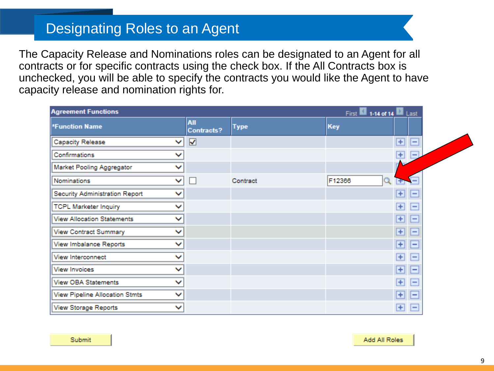### Designating Roles to an Agent

The Capacity Release and Nominations roles can be designated to an Agent for all contracts or for specific contracts using the check box. If the All Contracts box is unchecked, you will be able to specify the contracts you would like the Agent to have capacity release and nomination rights for.

| <b>Agreement Functions</b><br>First 1-14 of 14 2 Last                   |                             |                          |
|-------------------------------------------------------------------------|-----------------------------|--------------------------|
| All<br>Key<br><b>*Function Name</b><br><b>Type</b><br><b>Contracts?</b> |                             |                          |
| $\overline{\mathbf{v}}$<br>Capacity Release<br>◡                        | $\overline{+}$              | $\equiv$                 |
| Confirmations<br>◡                                                      | $+$                         | $\overline{\phantom{0}}$ |
| Market Pooling Aggregator<br>▽                                          |                             |                          |
| v<br>F12366<br>Nominations<br>Contract<br>$\mathbb{R}^n$                |                             | -                        |
| Security Administration Report<br>◡                                     | $\blacksquare$              | ⊢                        |
| <b>TCPL Marketer Inquiry</b><br>▽                                       | $\overline{+}$              | $\overline{ }$           |
| <b>View Allocation Statements</b><br>$\checkmark$                       | $\overline{+}$              | $\overline{ }$           |
| <b>View Contract Summary</b><br>▽                                       | $\left  \mathbf{H} \right $ | $\overline{}$            |
| View Imbalance Reports<br>◡                                             | $+$                         | ь                        |
| View Interconnect<br>◡                                                  | $\overline{+}$              | l —                      |
| <b>View Invoices</b><br>◡                                               | $\overline{+}$              | н                        |
| View OBA Statements<br>▽                                                | $+$                         | ⊨                        |
| View Pipeline Allocation Stmts<br>◡                                     | $\pm$                       | e                        |
| View Storage Reports<br>◡                                               | $+$                         | E                        |

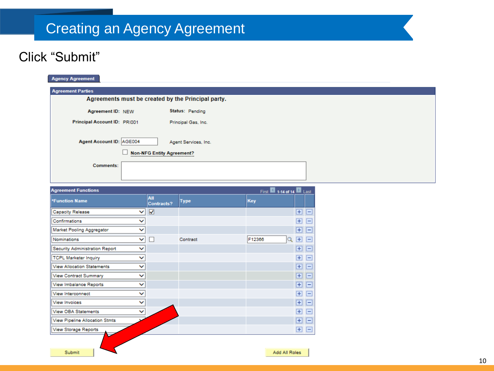### Click "Submit"

| <b>Agency Agreement</b>           |              |                                  |                                                    |     |        |                         |                         |                          |
|-----------------------------------|--------------|----------------------------------|----------------------------------------------------|-----|--------|-------------------------|-------------------------|--------------------------|
| <b>Agreement Parties</b>          |              |                                  |                                                    |     |        |                         |                         |                          |
|                                   |              |                                  | Agreements must be created by the Principal party. |     |        |                         |                         |                          |
| Agreement ID: NEW                 |              |                                  | Status: Pending                                    |     |        |                         |                         |                          |
| Principal Account ID: PRI001      |              |                                  |                                                    |     |        |                         |                         |                          |
|                                   |              |                                  | Principal Gas, Inc.                                |     |        |                         |                         |                          |
|                                   |              |                                  |                                                    |     |        |                         |                         |                          |
| Agent Account ID: AGE004          |              |                                  | Agent Services, Inc.                               |     |        |                         |                         |                          |
|                                   |              | <b>Non-NFG Entity Agreement?</b> |                                                    |     |        |                         |                         |                          |
| Comments:                         |              |                                  |                                                    |     |        |                         |                         |                          |
|                                   |              |                                  |                                                    |     |        |                         |                         |                          |
|                                   |              |                                  |                                                    |     |        |                         |                         |                          |
| <b>Agreement Functions</b>        |              |                                  |                                                    |     |        | First 1-14 of 14 2 Last |                         |                          |
| <b>*Function Name</b>             |              | All<br>Contracts?                | <b>Type</b>                                        | Key |        |                         |                         |                          |
| Capacity Release                  | $\checkmark$ | $\blacktriangledown$             |                                                    |     |        |                         | ⊞ ⊟                     |                          |
| Confirmations                     | v            |                                  |                                                    |     |        |                         | $\overline{+}$          | $\Box$                   |
| Market Pooling Aggregator         | v            |                                  |                                                    |     |        |                         | ⊞                       | E                        |
| <b>Nominations</b>                | ▽            | L                                | Contract                                           |     | F12366 | Q                       | $+$                     | $=$                      |
| Security Administration Report    | v            |                                  |                                                    |     |        |                         | $\Box$ $\Box$           |                          |
| <b>TCPL Marketer Inquiry</b>      | v            |                                  |                                                    |     |        |                         | $\overline{+}$          | $\overline{\phantom{0}}$ |
| <b>View Allocation Statements</b> | v            |                                  |                                                    |     |        |                         | $\overline{F}$          | E                        |
| View Contract Summary             | ◡            |                                  |                                                    |     |        |                         | 匣                       | E                        |
| View Imbalance Reports            | v            |                                  |                                                    |     |        |                         | $\overline{E}$          | E                        |
| View Interconnect                 | $\checkmark$ |                                  |                                                    |     |        |                         | $\overline{+}$          | $\overline{ }$           |
| <b>View Invoices</b>              | v            |                                  |                                                    |     |        |                         | $\overline{\mathbf{H}}$ | E                        |
| <b>View OBA Statements</b>        | $\checkmark$ |                                  |                                                    |     |        |                         | $\overline{+}$          | $\Box$                   |
| View Pipeline Allocation Stmts    |              |                                  |                                                    |     |        |                         | ⊞                       | E                        |
| <b>View Storage Reports</b>       |              |                                  |                                                    |     |        |                         | $\left  \pm \right $    | $\Box$                   |
|                                   |              |                                  |                                                    |     |        |                         |                         |                          |
| Submit                            |              |                                  |                                                    |     |        | Add All Roles           |                         |                          |
|                                   |              |                                  |                                                    |     |        |                         |                         |                          |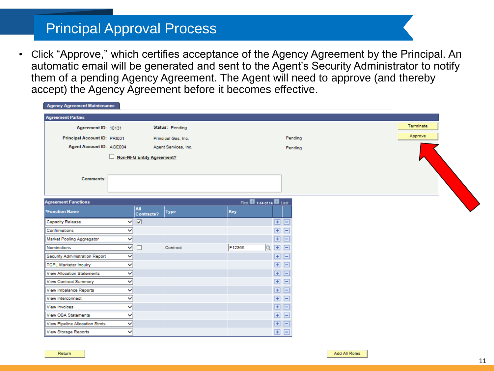### Principal Approval Process

• Click "Approve," which certifies acceptance of the Agency Agreement by the Principal. An automatic email will be generated and sent to the Agent's Security Administrator to notify them of a pending Agency Agreement. The Agent will need to approve (and thereby accept) the Agency Agreement before it becomes effective.

| Agency Agreement Mannenance       |              |                           |                      |                         |                |         |  |
|-----------------------------------|--------------|---------------------------|----------------------|-------------------------|----------------|---------|--|
| <b>Agreement Parties</b>          |              |                           |                      |                         |                |         |  |
| Agreement ID: 10131               |              |                           | Status: Pending      |                         |                |         |  |
| Principal Account ID: PRI001      |              |                           | Principal Gas, Inc.  |                         |                | Pending |  |
| Agent Account ID: AGE004          |              |                           | Agent Services, Inc. |                         |                | Pending |  |
|                                   |              | Non-NFG Entity Agreement? |                      |                         |                |         |  |
|                                   |              |                           |                      |                         |                |         |  |
|                                   |              |                           |                      |                         |                |         |  |
| Comments:                         |              |                           |                      |                         |                |         |  |
|                                   |              |                           |                      |                         |                |         |  |
| <b>Agreement Functions</b>        |              |                           |                      | First 1-14 of 14 D Last |                |         |  |
| <b>*Function Name</b>             |              | All                       | <b>Type</b>          | Key                     |                |         |  |
|                                   |              | <b>Contracts?</b>         |                      |                         |                |         |  |
| <b>Capacity Release</b>           | ◡            | $\overline{\mathbf{v}}$   |                      |                         | 国国             |         |  |
| Confirmations                     | $\check{ }$  |                           |                      |                         | 田田             |         |  |
| Market Pooling Aggregator         | ◡            |                           |                      |                         | 国国             |         |  |
| Nominations                       | $\checkmark$ |                           | Contract             | F12366<br>O             | 田田             |         |  |
| Security Administration Report    | ◡            |                           |                      |                         | 国国             |         |  |
| TCPL Marketer Inquiry             | $\checkmark$ |                           |                      |                         | 田田             |         |  |
| <b>View Allocation Statements</b> | $\checkmark$ |                           |                      |                         | 田日             |         |  |
| View Contract Summary             | $\checkmark$ |                           |                      |                         | 国国             |         |  |
| View Imbalance Reports            | $\checkmark$ |                           |                      |                         | 国国             |         |  |
| View Interconnect                 | ◡            |                           |                      |                         | 田日             |         |  |
| View Invoices                     | $\checkmark$ |                           |                      |                         | 国国             |         |  |
| View OBA Statements               |              |                           |                      |                         | 田<br>$\boxdot$ |         |  |

田日

田日

**View Storage Reports** 

View Pipeline Allocation Stmts

 $\checkmark$  $\checkmark$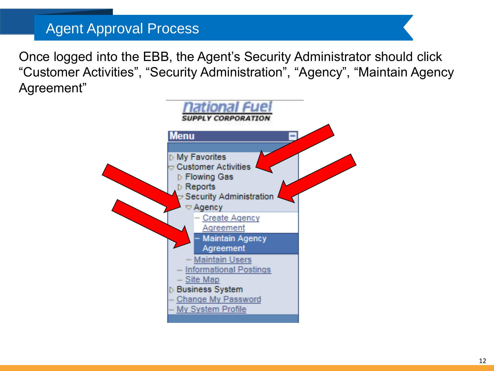### Agent Approval Process

Once logged into the EBB, the Agent's Security Administrator should click "Customer Activities", "Security Administration", "Agency", "Maintain Agency Agreement"

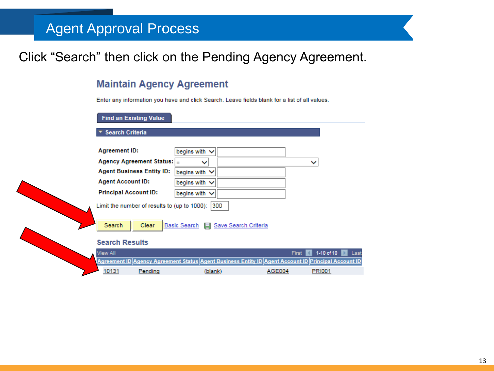## Agent Approval Process

### Click "Search" then click on the Pending Agency Agreement.

### **Maintain Agency Agreement**

Enter any information you have and click Search. Leave fields blank for a list of all values.

#### **Find an Existing Value**

▼ Search Criteria

| <b>Agreement ID:</b>                                | begins with $\vee$ |  |  |  |  |  |
|-----------------------------------------------------|--------------------|--|--|--|--|--|
| Agency Agreement Status: $\vert$ =                  |                    |  |  |  |  |  |
| <b>Agent Business Entity ID:</b>                    | begins with $\vee$ |  |  |  |  |  |
| <b>Agent Account ID:</b>                            | begins with $\vee$ |  |  |  |  |  |
| <b>Principal Account ID:</b>                        | begins with $\vee$ |  |  |  |  |  |
| 300<br>Limit the number of results to (up to 1000): |                    |  |  |  |  |  |

Basic Search | Save Search Criteria Clear Search

### **Search Results**

|  | View All |                                                                                                     |        | First 1-10 of 10   Last |
|--|----------|-----------------------------------------------------------------------------------------------------|--------|-------------------------|
|  |          | Agreement ID Agency Agreement Status Agent Business Entity ID Agent Account ID Principal Account ID |        |                         |
|  | 10131    | (blank)                                                                                             | AGE004 |                         |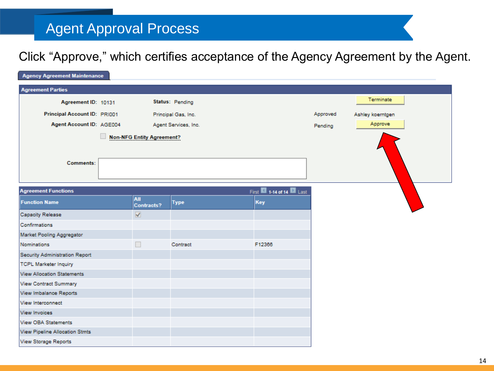## Agent Approval Process

Click "Approve," which certifies acceptance of the Agency Agreement by the Agent.

| <b>Agency Agreement Maintenance</b> |                                  |                      |                         |          |                  |
|-------------------------------------|----------------------------------|----------------------|-------------------------|----------|------------------|
| <b>Agreement Parties</b>            |                                  |                      |                         |          |                  |
| Agreement ID: 10131                 |                                  | Status: Pending      |                         |          | Terminate        |
| Principal Account ID: PRI001        |                                  | Principal Gas, Inc.  |                         | Approved | Ashley koerntgen |
| Agent Account ID: AGE004            |                                  | Agent Services, Inc. |                         | Pending  | Approve          |
|                                     | <b>Non-NFG Entity Agreement?</b> |                      |                         |          |                  |
|                                     |                                  |                      |                         |          |                  |
|                                     |                                  |                      |                         |          |                  |
| Comments:                           |                                  |                      |                         |          |                  |
|                                     |                                  |                      |                         |          |                  |
| <b>Agreement Functions</b>          |                                  |                      | First 1-14 of 14 D Last |          |                  |
| <b>Function Name</b>                | <b>All</b><br>Contracts?         | <b>Type</b>          | <b>Key</b>              |          |                  |
| Capacity Release                    | $\blacktriangledown$             |                      |                         |          |                  |
| Confirmations                       |                                  |                      |                         |          |                  |
| Market Pooling Aggregator           |                                  |                      |                         |          |                  |
| <b>Nominations</b>                  |                                  | Contract             | F12366                  |          |                  |
| Security Administration Report      |                                  |                      |                         |          |                  |
| <b>TCPL Marketer Inquiry</b>        |                                  |                      |                         |          |                  |
| <b>View Allocation Statements</b>   |                                  |                      |                         |          |                  |
| <b>View Contract Summary</b>        |                                  |                      |                         |          |                  |
| View Imbalance Reports              |                                  |                      |                         |          |                  |
| View Interconnect                   |                                  |                      |                         |          |                  |
| <b>View Invoices</b>                |                                  |                      |                         |          |                  |
| <b>View OBA Statements</b>          |                                  |                      |                         |          |                  |
| View Pipeline Allocation Stmts      |                                  |                      |                         |          |                  |
| View Storage Reports                |                                  |                      |                         |          |                  |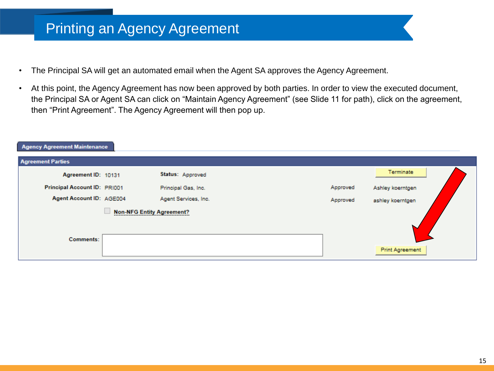### Printing an Agency Agreement

- The Principal SA will get an automated email when the Agent SA approves the Agency Agreement.
- At this point, the Agency Agreement has now been approved by both parties. In order to view the executed document, the Principal SA or Agent SA can click on "Maintain Agency Agreement" (see Slide 11 for path), click on the agreement, then "Print Agreement". The Agency Agreement will then pop up.

| <b>Agency Agreement Maintenance</b> |          |                        |  |  |  |  |  |  |
|-------------------------------------|----------|------------------------|--|--|--|--|--|--|
|                                     |          |                        |  |  |  |  |  |  |
| Status: Approved                    |          | Terminate              |  |  |  |  |  |  |
| Principal Gas, Inc.                 | Approved | Ashley koerntgen       |  |  |  |  |  |  |
| Agent Services, Inc.                | Approved | ashley koerntgen       |  |  |  |  |  |  |
| <b>Non-NFG Entity Agreement?</b>    |          |                        |  |  |  |  |  |  |
|                                     |          |                        |  |  |  |  |  |  |
|                                     |          | <b>Print Agreement</b> |  |  |  |  |  |  |
|                                     |          |                        |  |  |  |  |  |  |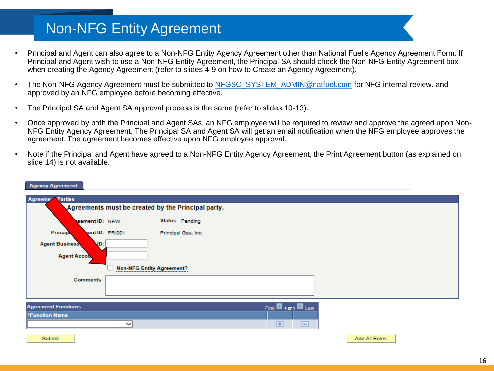### Non-NFG Entity Agreement

- Principal and Agent can also agree to a Non-NFG Entity Agency Agreement other than National Fuel's Agency Agreement Form. If Principal and Agent wish to use a Non-NFG Entity Agreement, the Principal SA should check the Non-NFG Entity Agreement box when creating the Agency Agreement (refer to slides 4-9 on how to Create an Agency Agreement).
- The Non-NFG Agency Agreement must be submitted to [NFGSC\\_SYSTEM\\_ADMIN@natfuel.com](mailto:NFGSC_SYSTEM_ADMIN@natfuel.com) for NFG internal review. and approved by an NFG employee before becoming effective.
- The Principal SA and Agent SA approval process is the same (refer to slides 10-13).
- Once approved by both the Principal and Agent SAs, an NFG employee will be required to review and approve the agreed upon Non-NFG Entity Agency Agreement. The Principal SA and Agent SA will get an email notification when the NFG employee approves the agreement. The agreement becomes effective upon NFG employee approval.
- Note if the Principal and Agent have agreed to a Non-NFG Entity Agency Agreement, the Print Agreement button (as explained on slide 14) is not available.

| <b>Agreeme<sup>t</sup></b> Parties |                                  |                                                    |                                     |               |
|------------------------------------|----------------------------------|----------------------------------------------------|-------------------------------------|---------------|
|                                    |                                  | Agreements must be created by the Principal party. |                                     |               |
| reement ID: NEW                    |                                  | <b>Status: Pending</b>                             |                                     |               |
| <b>Principy</b><br>unt ID: PRI001  |                                  | Principal Gas, Inc.                                |                                     |               |
| <b>Agent Business</b><br>VD:       |                                  |                                                    |                                     |               |
| <b>Agent Accou</b>                 |                                  |                                                    |                                     |               |
|                                    | <b>Non-NFG Entity Agreement?</b> |                                                    |                                     |               |
| Comments:                          |                                  |                                                    |                                     |               |
|                                    |                                  |                                                    |                                     |               |
| <b>Agreement Functions</b>         |                                  |                                                    | First <b>1</b> 1 of 1 <b>D</b> Last |               |
| *Function Name                     |                                  |                                                    |                                     |               |
|                                    | ◡                                |                                                    | $\overline{+}$<br>ᄇ                 |               |
| Submit                             |                                  |                                                    |                                     | Add All Roles |

### **Agency Agreement**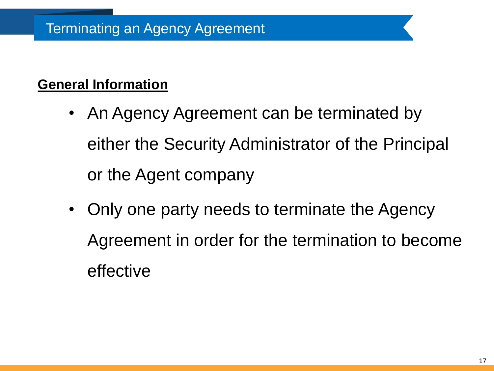### **General Information**

- An Agency Agreement can be terminated by either the Security Administrator of the Principal or the Agent company
- Only one party needs to terminate the Agency Agreement in order for the termination to become effective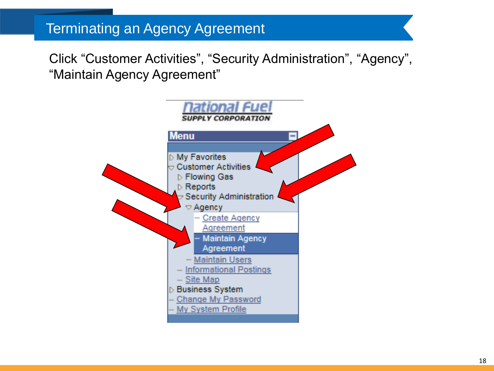### Terminating an Agency Agreement

Click "Customer Activities", "Security Administration", "Agency", "Maintain Agency Agreement"

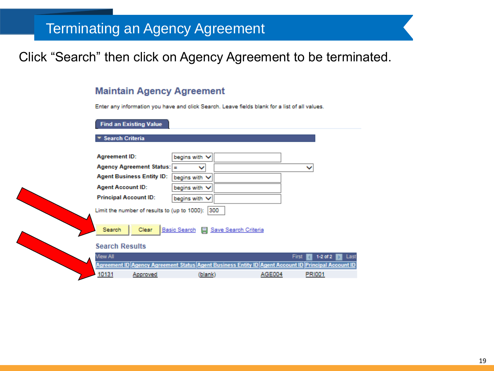### Terminating an Agency Agreement

### Click "Search" then click on Agency Agreement to be terminated.

### **Maintain Agency Agreement**

Enter any information you have and click Search. Leave fields blank for a list of all values.

**Find an Existing Value** 

**Search Criteria** 

| <b>Agreement ID:</b>         |                                                  | begins with V      |              |                                                                                            |               |                    |
|------------------------------|--------------------------------------------------|--------------------|--------------|--------------------------------------------------------------------------------------------|---------------|--------------------|
|                              | Agency Agreement Status: $=$                     |                    | $\checkmark$ |                                                                                            |               | $\checkmark$       |
|                              | <b>Agent Business Entity ID:</b>                 | begins with $\vee$ |              |                                                                                            |               |                    |
| <b>Agent Account ID:</b>     |                                                  | begins with $\vee$ |              |                                                                                            |               |                    |
| <b>Principal Account ID:</b> |                                                  | begins with $\vee$ |              |                                                                                            |               |                    |
|                              | Limit the number of results to (up to 1000): 300 |                    |              |                                                                                            |               |                    |
| Search                       | Clear                                            |                    |              | Basic Search   Save Search Criteria                                                        |               |                    |
| <b>Search Results</b>        |                                                  |                    |              |                                                                                            |               |                    |
| <b>View All</b>              |                                                  |                    |              |                                                                                            |               | $1-2$ of:<br>First |
|                              |                                                  |                    |              | Agreement ID Agency Agreement Status Agent Business Entity ID Agent Account ID Principal A |               |                    |
| 10131                        | Approved                                         |                    | (blank)      |                                                                                            | <b>AGE004</b> | <b>PRI001</b>      |
|                              |                                                  |                    |              |                                                                                            |               |                    |

| View All | First 1-2 of 2   Las                                                                                |         |        |               |  |
|----------|-----------------------------------------------------------------------------------------------------|---------|--------|---------------|--|
|          | Agreement ID Agency Agreement Status Agent Business Entity ID Agent Account ID Principal Account II |         |        |               |  |
| $-10131$ | Approved                                                                                            | (blank) | AGE004 | <b>PRI001</b> |  |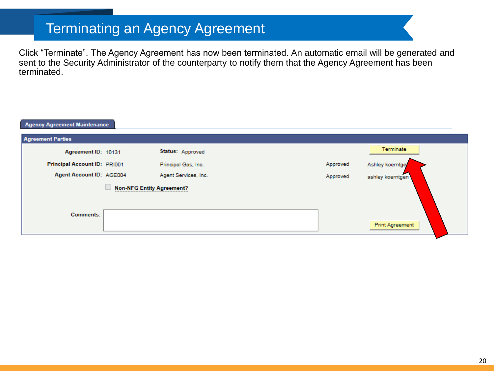## Terminating an Agency Agreement

Click "Terminate". The Agency Agreement has now been terminated. An automatic email will be generated and sent to the Security Administrator of the counterparty to notify them that the Agency Agreement has been terminated.

| Agency Agreement Maintenance |                                  |                      |          |                        |
|------------------------------|----------------------------------|----------------------|----------|------------------------|
| <b>Agreement Parties</b>     |                                  |                      |          |                        |
| Agreement ID: 10131          |                                  | Status: Approved     |          | Terminate              |
| Principal Account ID: PRI001 |                                  | Principal Gas, Inc.  | Approved | Ashley koerntge        |
| Agent Account ID: AGE004     |                                  | Agent Services, Inc. | Approved | ashley koerntgen       |
| Comments:                    | <b>Non-NFG Entity Agreement?</b> |                      |          |                        |
|                              |                                  |                      |          | <b>Print Agreement</b> |